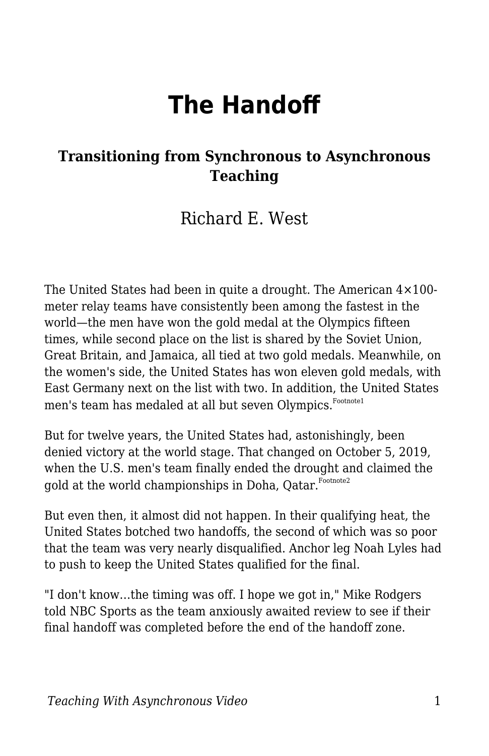# **The Handoff**

#### **Transitioning from Synchronous to Asynchronous Teaching**

### Richard E. West

The United States had been in quite a drought. The American 4×100 meter relay teams have consistently been among the fastest in the world—the men have won the gold medal at the Olympics fifteen times, while second place on the list is shared by the Soviet Union, Great Britain, and Jamaica, all tied at two gold medals. Meanwhile, on the women's side, the United States has won eleven gold medals, with East Germany next on the list with two. In addition, the United States men's team has medaled at all but seven Olympics. Footnote1

But for twelve years, the United States had, astonishingly, been denied victory at the world stage. That changed on October 5, 2019, when the U.S. men's team finally ended the drought and claimed the gold at the world championships in Doha, Oatar. Footnote2

But even then, it almost did not happen. In their qualifying heat, the United States botched two handoffs, the second of which was so poor that the team was very nearly disqualified. Anchor leg Noah Lyles had to push to keep the United States qualified for the final.

"I don't know…the timing was off. I hope we got in," Mike Rodgers told NBC Sports as the team anxiously awaited review to see if their final handoff was completed before the end of the handoff zone.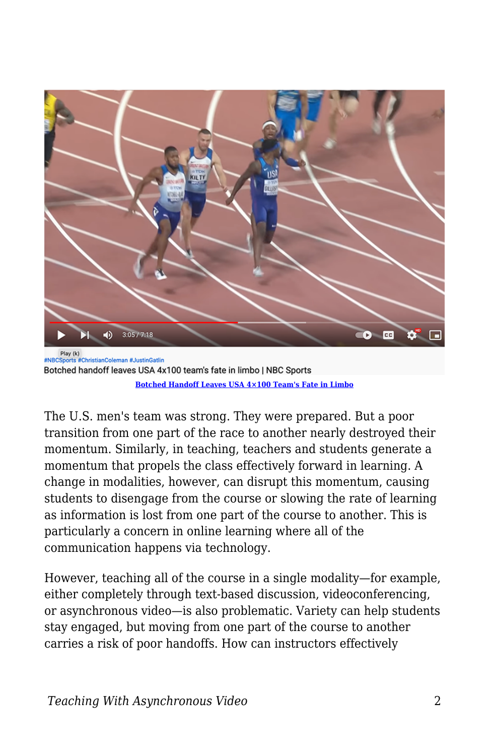

Botched handoff leaves USA 4x100 team's fate in limbo | NBC Sports **[Botched Handoff Leaves USA 4×100 Team's Fate in Limbo](https://www.youtube.com/watch?v=GzGjKc2cPuI)**

The U.S. men's team was strong. They were prepared. But a poor transition from one part of the race to another nearly destroyed their momentum. Similarly, in teaching, teachers and students generate a momentum that propels the class effectively forward in learning. A change in modalities, however, can disrupt this momentum, causing students to disengage from the course or slowing the rate of learning as information is lost from one part of the course to another. This is particularly a concern in online learning where all of the communication happens via technology.

However, teaching all of the course in a single modality—for example, either completely through text-based discussion, videoconferencing, or asynchronous video—is also problematic. Variety can help students stay engaged, but moving from one part of the course to another carries a risk of poor handoffs. How can instructors effectively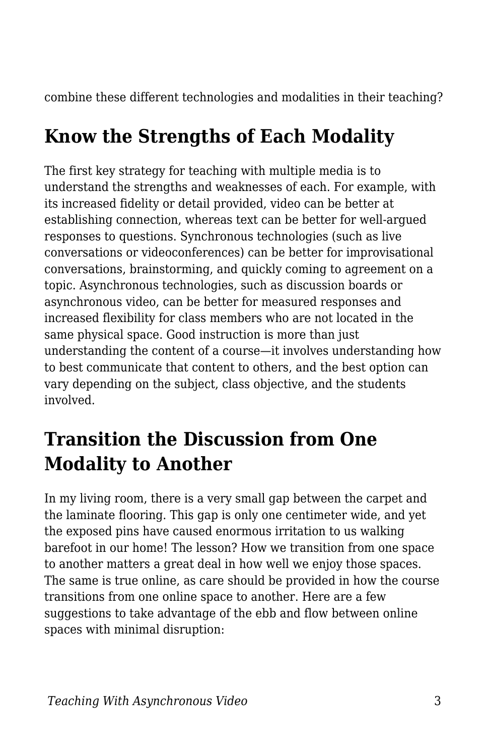combine these different technologies and modalities in their teaching?

## **Know the Strengths of Each Modality**

The first key strategy for teaching with multiple media is to understand the strengths and weaknesses of each. For example, with its increased fidelity or detail provided, video can be better at establishing connection, whereas text can be better for well-argued responses to questions. Synchronous technologies (such as live conversations or videoconferences) can be better for improvisational conversations, brainstorming, and quickly coming to agreement on a topic. Asynchronous technologies, such as discussion boards or asynchronous video, can be better for measured responses and increased flexibility for class members who are not located in the same physical space. Good instruction is more than just understanding the content of a course—it involves understanding how to best communicate that content to others, and the best option can vary depending on the subject, class objective, and the students involved.

## **Transition the Discussion from One Modality to Another**

In my living room, there is a very small gap between the carpet and the laminate flooring. This gap is only one centimeter wide, and yet the exposed pins have caused enormous irritation to us walking barefoot in our home! The lesson? How we transition from one space to another matters a great deal in how well we enjoy those spaces. The same is true online, as care should be provided in how the course transitions from one online space to another. Here are a few suggestions to take advantage of the ebb and flow between online spaces with minimal disruption: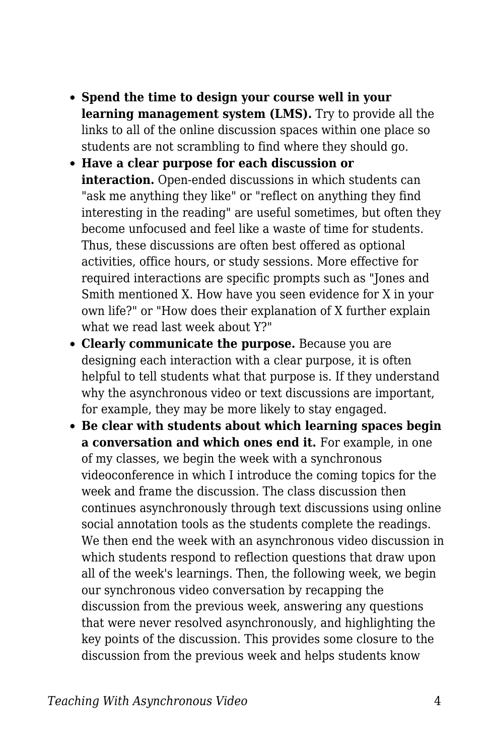- **Spend the time to design your course well in your learning management system (LMS).** Try to provide all the links to all of the online discussion spaces within one place so students are not scrambling to find where they should go.
- **Have a clear purpose for each discussion or interaction.** Open-ended discussions in which students can "ask me anything they like" or "reflect on anything they find interesting in the reading" are useful sometimes, but often they become unfocused and feel like a waste of time for students. Thus, these discussions are often best offered as optional activities, office hours, or study sessions. More effective for required interactions are specific prompts such as "Jones and Smith mentioned X. How have you seen evidence for X in your own life?" or "How does their explanation of X further explain what we read last week about Y?"
- **Clearly communicate the purpose.** Because you are designing each interaction with a clear purpose, it is often helpful to tell students what that purpose is. If they understand why the asynchronous video or text discussions are important, for example, they may be more likely to stay engaged.
- **Be clear with students about which learning spaces begin a conversation and which ones end it.** For example, in one of my classes, we begin the week with a synchronous videoconference in which I introduce the coming topics for the week and frame the discussion. The class discussion then continues asynchronously through text discussions using online social annotation tools as the students complete the readings. We then end the week with an asynchronous video discussion in which students respond to reflection questions that draw upon all of the week's learnings. Then, the following week, we begin our synchronous video conversation by recapping the discussion from the previous week, answering any questions that were never resolved asynchronously, and highlighting the key points of the discussion. This provides some closure to the discussion from the previous week and helps students know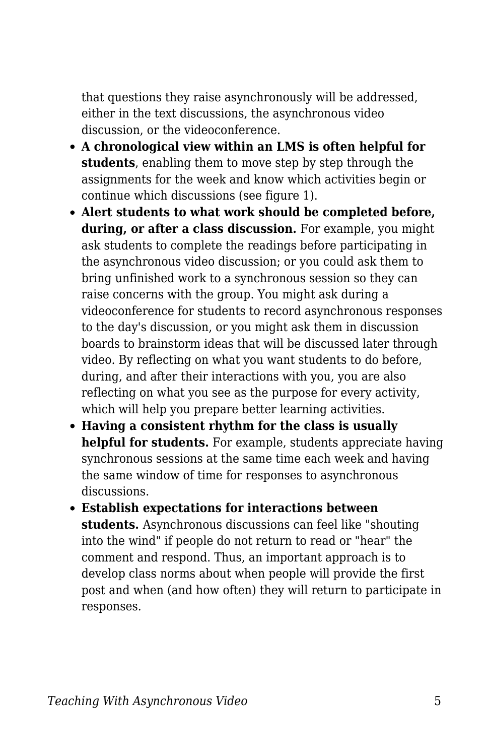that questions they raise asynchronously will be addressed, either in the text discussions, the asynchronous video discussion, or the videoconference.

- **A chronological view within an LMS is often helpful for students**, enabling them to move step by step through the assignments for the week and know which activities begin or continue which discussions (see figure 1).
- **Alert students to what work should be completed before, during, or after a class discussion.** For example, you might ask students to complete the readings before participating in the asynchronous video discussion; or you could ask them to bring unfinished work to a synchronous session so they can raise concerns with the group. You might ask during a videoconference for students to record asynchronous responses to the day's discussion, or you might ask them in discussion boards to brainstorm ideas that will be discussed later through video. By reflecting on what you want students to do before, during, and after their interactions with you, you are also reflecting on what you see as the purpose for every activity, which will help you prepare better learning activities.
- **Having a consistent rhythm for the class is usually helpful for students.** For example, students appreciate having synchronous sessions at the same time each week and having the same window of time for responses to asynchronous discussions.
- **Establish expectations for interactions between students.** Asynchronous discussions can feel like "shouting into the wind" if people do not return to read or "hear" the comment and respond. Thus, an important approach is to develop class norms about when people will provide the first post and when (and how often) they will return to participate in responses.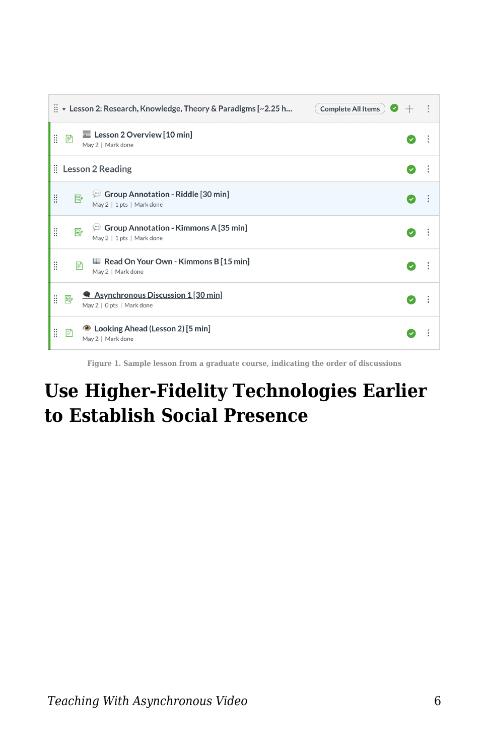| $\frac{11}{11}$ • Lesson 2: Research, Knowledge, Theory & Paradigms [~2.25 h<br>Complete All Items | ٠ |
|----------------------------------------------------------------------------------------------------|---|
| Lesson 2 Overview [10 min]<br>Ħ<br>P<br>May 2   Mark done                                          |   |
| $\vdots$ Lesson 2 Reading                                                                          |   |
| $\mathcal{P}$ Group Annotation - Riddle [30 min]<br>Ħ<br>駗<br>May 2   1 pts   Mark done            |   |
| $\circ$ Group Annotation - Kimmons A [35 min]<br>Ħ<br>國<br>May 2   1 pts   Mark done               |   |
| Read On Your Own - Kimmons B [15 min]<br>Ħ<br>圕<br>May 2   Mark done                               | ÷ |
| Asynchronous Discussion 1[30 min]<br>Ħ.<br>國<br>May 2   0 pts   Mark done                          |   |
| <b>●</b> Looking Ahead (Lesson 2) [5 min]<br>H<br>目<br>May 2   Mark done                           |   |

**Figure 1. Sample lesson from a graduate course, indicating the order of discussions**

## **Use Higher-Fidelity Technologies Earlier to Establish Social Presence**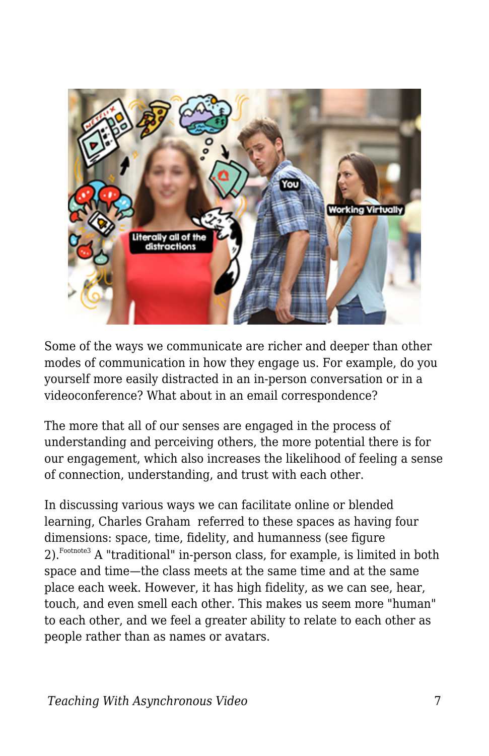

Some of the ways we communicate are richer and deeper than other modes of communication in how they engage us. For example, do you yourself more easily distracted in an in-person conversation or in a videoconference? What about in an email correspondence?

The more that all of our senses are engaged in the process of understanding and perceiving others, the more potential there is for our engagement, which also increases the likelihood of feeling a sense of connection, understanding, and trust with each other.

In discussing various ways we can facilitate online or blended learning, Charles Graham referred to these spaces as having four dimensions: space, time, fidelity, and humanness (see figure 2).<sup>Footnote3</sup> A "traditional" in-person class, for example, is limited in both space and time—the class meets at the same time and at the same place each week. However, it has high fidelity, as we can see, hear, touch, and even smell each other. This makes us seem more "human" to each other, and we feel a greater ability to relate to each other as people rather than as names or avatars.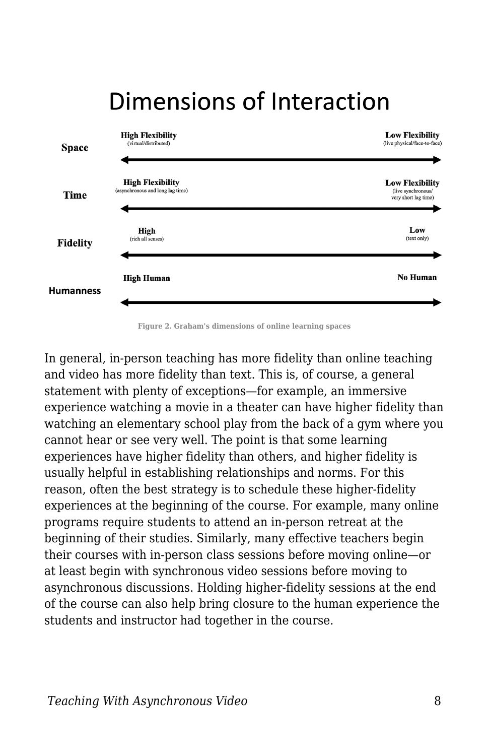

## Dimensions of Interaction

**Figure 2. Graham's dimensions of online learning spaces**

In general, in-person teaching has more fidelity than online teaching and video has more fidelity than text. This is, of course, a general statement with plenty of exceptions—for example, an immersive experience watching a movie in a theater can have higher fidelity than watching an elementary school play from the back of a gym where you cannot hear or see very well. The point is that some learning experiences have higher fidelity than others, and higher fidelity is usually helpful in establishing relationships and norms. For this reason, often the best strategy is to schedule these higher-fidelity experiences at the beginning of the course. For example, many online programs require students to attend an in-person retreat at the beginning of their studies. Similarly, many effective teachers begin their courses with in-person class sessions before moving online—or at least begin with synchronous video sessions before moving to asynchronous discussions. Holding higher-fidelity sessions at the end of the course can also help bring closure to the human experience the students and instructor had together in the course.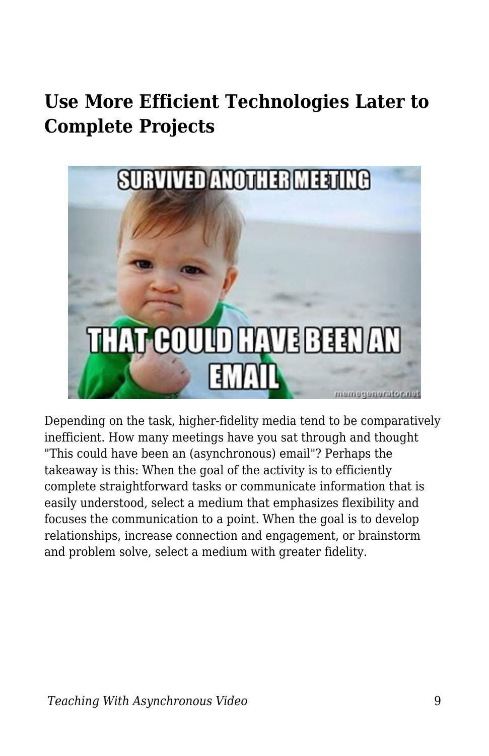## **Use More Efficient Technologies Later to Complete Projects**



Depending on the task, higher-fidelity media tend to be comparatively inefficient. How many meetings have you sat through and thought "This could have been an (asynchronous) email"? Perhaps the takeaway is this: When the goal of the activity is to efficiently complete straightforward tasks or communicate information that is easily understood, select a medium that emphasizes flexibility and focuses the communication to a point. When the goal is to develop relationships, increase connection and engagement, or brainstorm and problem solve, select a medium with greater fidelity.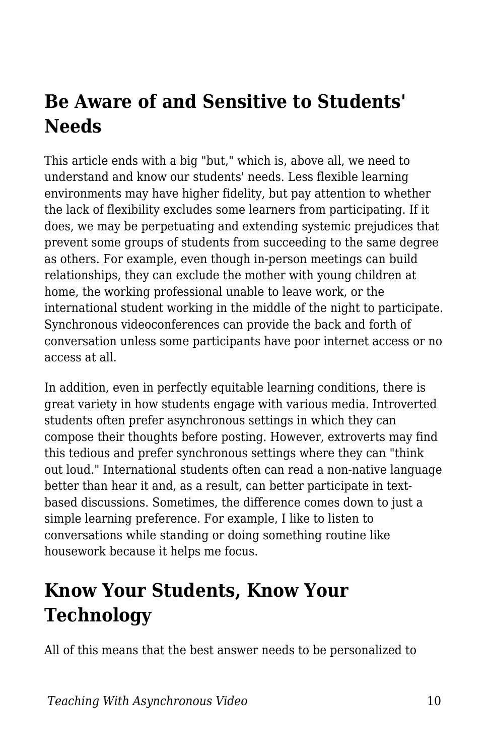## **Be Aware of and Sensitive to Students' Needs**

This article ends with a big "but," which is, above all, we need to understand and know our students' needs. Less flexible learning environments may have higher fidelity, but pay attention to whether the lack of flexibility excludes some learners from participating. If it does, we may be perpetuating and extending systemic prejudices that prevent some groups of students from succeeding to the same degree as others. For example, even though in-person meetings can build relationships, they can exclude the mother with young children at home, the working professional unable to leave work, or the international student working in the middle of the night to participate. Synchronous videoconferences can provide the back and forth of conversation unless some participants have poor internet access or no access at all.

In addition, even in perfectly equitable learning conditions, there is great variety in how students engage with various media. Introverted students often prefer asynchronous settings in which they can compose their thoughts before posting. However, extroverts may find this tedious and prefer synchronous settings where they can "think out loud." International students often can read a non-native language better than hear it and, as a result, can better participate in textbased discussions. Sometimes, the difference comes down to just a simple learning preference. For example, I like to listen to conversations while standing or doing something routine like housework because it helps me focus.

## **Know Your Students, Know Your Technology**

All of this means that the best answer needs to be personalized to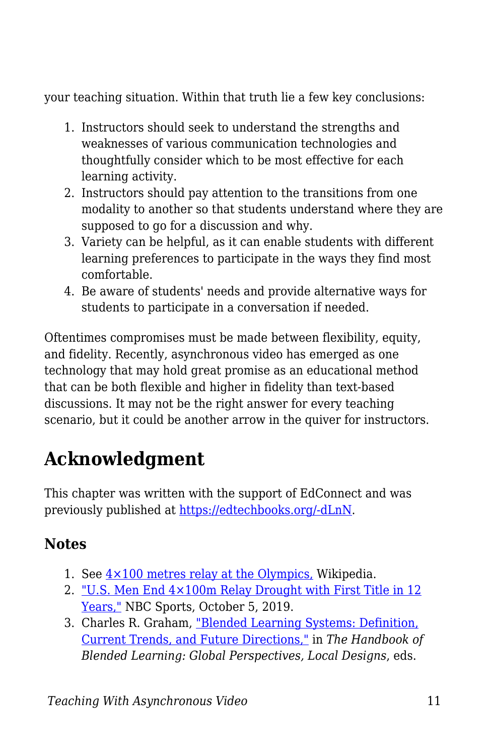your teaching situation. Within that truth lie a few key conclusions:

- 1. Instructors should seek to understand the strengths and weaknesses of various communication technologies and thoughtfully consider which to be most effective for each learning activity.
- 2. Instructors should pay attention to the transitions from one modality to another so that students understand where they are supposed to go for a discussion and why.
- 3. Variety can be helpful, as it can enable students with different learning preferences to participate in the ways they find most comfortable.
- 4. Be aware of students' needs and provide alternative ways for students to participate in a conversation if needed.

Oftentimes compromises must be made between flexibility, equity, and fidelity. Recently, asynchronous video has emerged as one technology that may hold great promise as an educational method that can be both flexible and higher in fidelity than text-based discussions. It may not be the right answer for every teaching scenario, but it could be another arrow in the quiver for instructors.

## **Acknowledgment**

This chapter was written with the support of EdConnect and was previously published at [https://edtechbooks.org/-dLnN](https://er.educause.edu/blogs/2021/2/the-handoff-transitioning-from-synchronous-to-asynchronous-teaching).

### **Notes**

- 1. See  $4 \times 100$  metres relay at the Olympics, Wikipedia.
- 2. ["U.S. Men End 4×100m Relay Drought with First Title in 12](https://olympics.nbcsports.com/2019/10/05/noah-lyles-christian-coleman-relay-world-championships/) [Years,"](https://olympics.nbcsports.com/2019/10/05/noah-lyles-christian-coleman-relay-world-championships/) NBC Sports, October 5, 2019.
- 3. Charles R. Graham, ["Blended Learning Systems: Definition,](https://www.wiley.com/en-us/The+Handbook+of+Blended+Learning%3A+Global+Perspectives%2C+Local+Designs-p-9780787977580) [Current Trends, and Future Directions,"](https://www.wiley.com/en-us/The+Handbook+of+Blended+Learning%3A+Global+Perspectives%2C+Local+Designs-p-9780787977580) in *The Handbook of Blended Learning: Global Perspectives, Local Designs*, eds.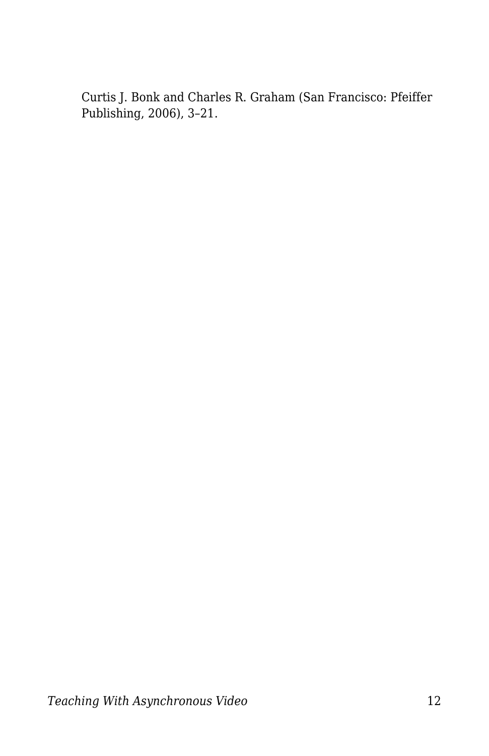Curtis J. Bonk and Charles R. Graham (San Francisco: Pfeiffer Publishing, 2006), 3–21.